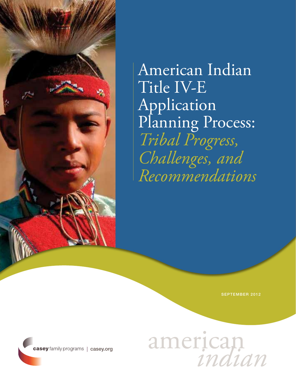

American Indian Title IV-E Application Planning Process: *Tribal Progress, Challenges, and Recommendations*

SEPTEMBER 2012

# american *indian*

casey family programs | casey.org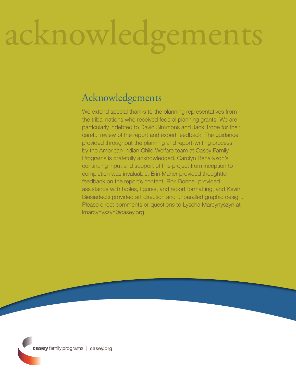# acknowledgements

# Acknowledgements

We extend special thanks to the planning representatives from the tribal nations who received federal planning grants. We are particularly indebted to David Simmons and Jack Trope for their careful review of the report and expert feedback. The guidance provided throughout the planning and report-writing process by the American Indian Child Welfare team at Casey Family Programs is gratefully acknowledged. Carolyn Benallyson's continuing input and support of this project from inception to completion was invaluable. Erin Maher provided thoughtful feedback on the report's content, Rori Bonnell provided assistance with tables, figures, and report formatting, and Kevin Biesiadecki provided art direction and unparalled graphic design. Please direct comments or questions to Lyscha Marcynyszyn at lmarcynyszyn@casey.org.

casey family programs | casey.org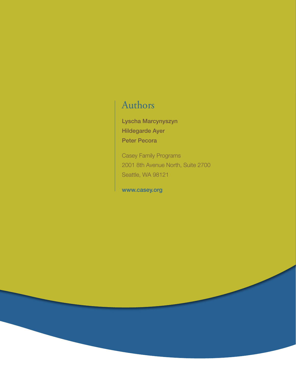# Authors

Lyscha Marcynyszyn Hildegarde Ayer Peter Pecora

Casey Family Programs 2001 8th Avenue North, Suite 2700 Seattle, WA 98121

www.casey.org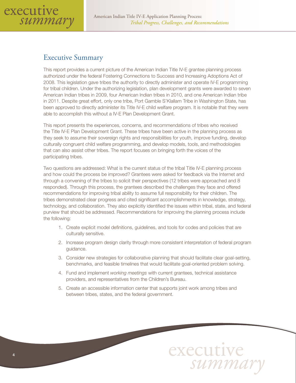

## Executive Summary

This report provides a current picture of the American Indian Title IV-E grantee planning process authorized under the federal Fostering Connections to Success and Increasing Adoptions Act of 2008. This legislation gave tribes the authority to directly administer and operate IV-E programming for tribal children. Under the authorizing legislation, plan development grants were awarded to seven American Indian tribes in 2009, four American Indian tribes in 2010, and one American Indian tribe in 2011. Despite great effort, only one tribe, Port Gamble S'Klallam Tribe in Washington State, has been approved to directly administer its Title IV-E child welfare program. It is notable that they were able to accomplish this without a IV-E Plan Development Grant.

This report presents the experiences, concerns, and recommendations of tribes who received the Title IV-E Plan Development Grant. These tribes have been active in the planning process as they seek to assume their sovereign rights and responsibilities for youth, improve funding, develop culturally congruent child welfare programming, and develop models, tools, and methodologies that can also assist other tribes. The report focuses on bringing forth the voices of the participating tribes.

Two questions are addressed: What is the current status of the tribal Title IV-E planning process and how could the process be improved? Grantees were asked for feedback via the Internet and through a convening of the tribes to solicit their perspectives (12 tribes were approached and 8 responded). Through this process, the grantees described the challenges they face and offered recommendations for improving tribal ability to assume full responsibility for their children. The tribes demonstrated clear progress and cited significant accomplishments in knowledge, strategy, technology, and collaboration. They also explicitly identified the issues within tribal, state, and federal purview that should be addressed. Recommendations for improving the planning process include the following:

- 1. Create explicit model definitions, guidelines, and tools for codes and policies that are culturally sensitive.
- 2. Increase program design clarity through more consistent interpretation of federal program guidance.
- 3. Consider new strategies for collaborative planning that should facilitate clear goal-setting, benchmarks, and feasible timelines that would facilitate goal-oriented problem solving.
- 4. Fund and implement *working meetings* with current grantees, technical assistance providers, and representatives from the Children's Bureau.
- 5. Create an accessible information center that supports joint work among tribes and between tribes, states, and the federal government.

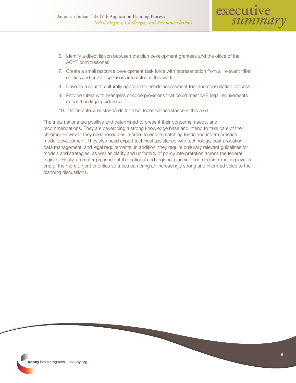

- 6. Identify a direct liaison between the plan development grantees and the office of the ACYF commissioner.
- 7. Create a small resource development task force with representation from all relevant tribal entities and private sponsors interested in this work.
- 8. Develop a sound, culturally appropriate needs assessment tool and consultation process.
- 9. Provide tribes with examples of code provisions that could meet IV-E legal requirements rather than legal guidelines.
- 10. Define criteria or standards for tribal technical assistance in this area.

The tribal nations are positive and determined to present their concerns, needs, and recommendations. They are developing a strong knowledge base and intend to take care of their children. However, they need resources in order to obtain matching funds and inform practice model development. They also need expert technical assistance with technology, cost allocation, data management, and legal requirements. In addition, they require culturally relevant guidelines for models and strategies, as well as clarity and uniformity of policy interpretation across the federal regions. Finally, a greater presence at the national and regional planning and decision-making level is one of the more urgent priorities so tribes can bring an increasingly strong and informed voice to the planning discussions.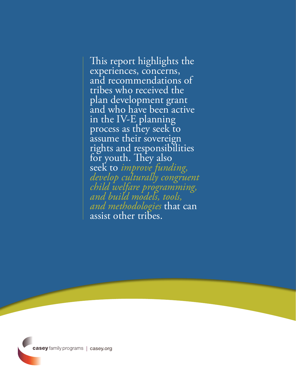This report highlights the experiences, concerns, and recommendations of tribes who received the plan development grant and who have been active in the IV-E planning process as they seek to assume their sovereign rights and responsibilities for youth. They also<br>seek to *improve funding*, develop culturally congruent *child welfare programming, and build models, tools, and methodologies* that can assist other tribes.

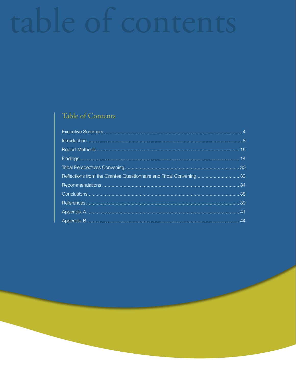# Table of Contents

| Reflections from the Grantee Questionnaire and Tribal Convening33 |  |
|-------------------------------------------------------------------|--|
|                                                                   |  |
|                                                                   |  |
|                                                                   |  |
|                                                                   |  |
|                                                                   |  |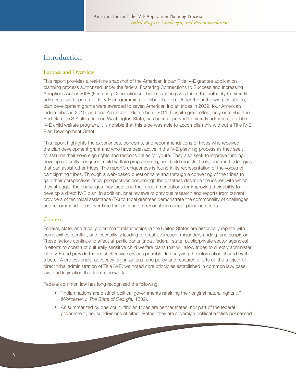## **Introduction**

#### Purpose and Overview

This report provides a real-time snapshot of the American Indian Title IV-E grantee application planning process authorized under the federal Fostering Connections to Success and Increasing Adoptions Act of 2008 (Fostering Connections). This legislation gives tribes the authority to directly administer and operate Title IV-E programming for tribal children. Under the authorizing legislation, plan development grants were awarded to seven American Indian tribes in 2009, four American Indian tribes in 2010, and one American Indian tribe in 2011. Despite great effort, only one tribe, the Port Gamble S'Klallam tribe in Washington State, has been approved to directly administer its Title IV-E child welfare program. It is notable that this tribe was able to accomplish this without a Title IV-E Plan Development Grant.

This report highlights the experiences, concerns, and recommendations of tribes who received the plan development grant and who have been active in the IV-E planning process as they seek to assume their sovereign rights and responsibilities for youth. They also seek to improve funding, develop culturally congruent child welfare programming, and build models, tools, and methodologies that can assist other tribes. The report's uniqueness is found in its representation of the voices of participating tribes. Through a web-based questionnaire and through a convening of the tribes to gain their perspectives (tribal perspectives convening), the grantees describe the issues with which they struggle, the challenges they face, and their recommendations for improving their ability to develop a direct IV-E plan. In addition, brief reviews of previous research and reports from current providers of technical assistance (TA) to tribal grantees demonstrate the commonality of challenges and recommendations over time that continue to resonate in current planning efforts.

#### Context

Federal, state, and tribal government relationships in the United States are historically replete with complexities, conflict, and insensitivity leading to great overreach, misunderstanding, and suspicion. These factors continue to affect all participants (tribal, federal, state, public/private sector agencies) in efforts to construct culturally sensitive child welfare plans that will allow tribes to directly administer Title IV-E and provide the most effective services possible. In analyzing the information shared by the tribes, TA professionals, advocacy organizations, and policy and research efforts on the subject of direct tribal administration of Title IV-E, we noted core principles established in common law, case law, and legislation that frame the work.

Federal common law has long recognized the following:

- "Indian nations are distinct political governments retaining their original natural rights..." (*Worcester v. The State of Georgia,* 1832).
- As summarized by one court, "Indian tribes are neither states, nor part of the federal government, nor subdivisions of either. Rather they are sovereign political entities possessed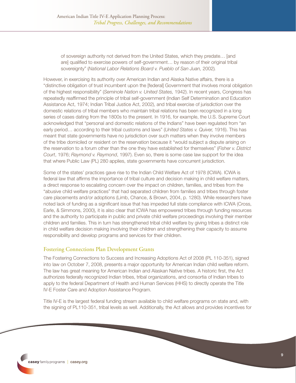of sovereign authority not derived from the United States, which they predate… [and are] qualified to exercise powers of self-government… by reason of their original tribal sovereignty" (*National Labor Relations Board v. Pueblo of San Juan,* 2002)*.*

However, in exercising its authority over American Indian and Alaska Native affairs, there is a "distinctive obligation of trust incumbent upon the [federal] Government that involves moral obligation of the highest responsibility" (*Seminole Nation v. United States,* 1942). In recent years, Congress has repeatedly reaffirmed the principle of tribal self-government (Indian Self Determination and Education Assistance Act, 1974; Indian Tribal Justice Act, 2002), and tribal exercise of jurisdiction over the domestic relations of tribal members who maintain tribal relations has been recognized in a long series of cases dating from the 1800s to the present. In 1916, for example, the U.S. Supreme Court acknowledged that "personal and domestic relations of the Indians" have been regulated from "an early period… according to their tribal customs and laws" (*United States v. Quiver,* 1916). This has meant that state governments have no jurisdiction over such matters when they involve members of the tribe domiciled or resident on the reservation because it "would subject a dispute arising on the reservation to a forum other than the one they have established for themselves" (*Fisher v. District Court*, 1976; *Raymond v. Raymond*, 1997). Even so, there is some case law support for the idea that where Public Law (PL) 280 applies, state governments have concurrent jurisdiction.

Some of the states' practices gave rise to the Indian Child Welfare Act of 1978 (ICWA). ICWA is federal law that affirms the importance of tribal culture and decision making in child welfare matters, a direct response to escalating concern over the impact on children, families, and tribes from the "abusive child welfare practices" that had separated children from families and tribes through foster care placements and/or adoptions (Limb, Chance, & Brown, 2004, p. 1280). While researchers have noted lack of funding as a significant issue that has impeded full state compliance with ICWA (Cross, Earle, & Simmons, 2000), it is also clear that ICWA has empowered tribes through funding resources and the authority to participate in public and private child welfare proceedings involving their member children and families. This in turn has strengthened tribal child welfare by giving tribes a distinct role in child welfare decision making involving their children and strengthening their capacity to assume responsibility and develop programs and services for their children.

#### Fostering Connections Plan Development Grants

The Fostering Connections to Success and Increasing Adoptions Act of 2008 (PL 110-351), signed into law on October 7, 2008, presents a major opportunity for American Indian child welfare reform. The law has great meaning for American Indian and Alaskan Native tribes. A historic first, the Act authorizes federally recognized Indian tribes, tribal organizations, and consortia of Indian tribes to apply to the federal Department of Health and Human Services (HHS) to directly operate the Title IV-E Foster Care and Adoption Assistance Program.

Title IV-E is the largest federal funding stream available to child welfare programs on state and, with the signing of PL110-351, tribal levels as well. Additionally, the Act allows and provides incentives for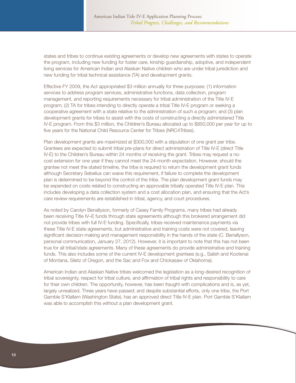states and tribes to continue existing agreements or develop new agreements with states to operate the program, including new funding for foster care, kinship guardianship, adoptive, and independent living services for American Indian and Alaskan Native children who are under tribal jurisdiction and new funding for tribal technical assistance (TA) and development grants.

Effective FY 2009, the Act appropriated \$3 million annually for three purposes: (1) information services to address program services, administrative functions, data collection, program management, and reporting requirements necessary for tribal administration of the Title IV-E program; (2) TA for tribes intending to directly operate a tribal Title IV-E program or seeking a cooperative agreement with a state relative to the administration of such a program; and (3) plan development grants for tribes to assist with the costs of constructing a directly administered Title IV-E program. From this \$3 million, the Children's Bureau allocated up to \$850,000 per year for up to five years for the National Child Resource Center for Tribes (NRC4Tribes).

Plan development grants are maximized at \$300,000 with a stipulation of one grant per tribe. Grantees are expected to submit tribal pre-plans for direct administration of Title IV-E (direct Title IV-E) to the Children's Bureau within 24 months of receiving the grant. Tribes may request a nocost extension for one year if they cannot meet the 24-month expectation. However, should the grantee not meet the stated timeline, the tribe is required to return the development grant funds although Secretary Sebelius can waive this requirement, if failure to complete the development plan is determined to be beyond the control of the tribe. The plan development grant funds may be expended on costs related to constructing an approvable tribally operated Title IV-E plan. This includes developing a data collection system and a cost allocation plan, and ensuring that the Act's care review requirements are established in tribal, agency, and court procedures.

As noted by Carolyn Benallyson, formerly of Casey Family Programs, many tribes had already been receiving Title IV–E funds through state agreements although this brokered arrangement did not provide tribes with full IV-E funding. Specifically, tribes received maintenance payments via these Title IV-E state agreements, but administrative and training costs were not covered, leaving significant decision-making and management responsibility in the hands of the state (C. Benallyson, personal communication, January 27, 2012). However, it is important to note that this has not been true for all tribal/state agreements. Many of these agreements do provide administrative and training funds. This also includes some of the current IV-E development grantees (e.g., Salish and Kootenai of Montana, Siletz of Oregon, and the Sac and Fox and Chickasaw of Oklahoma).

American Indian and Alaskan Native tribes welcomed the legislation as a long-desired recognition of tribal sovereignty, respect for tribal culture, and affirmation of tribal rights and responsibility to care for their own children. The opportunity, however, has been fraught with complications and is, as yet, largely unrealized. Three years have passed; and despite substantial efforts, only one tribe, the Port Gamble S'Klallam (Washington State), has an approved direct Title IV-E plan. Port Gamble S'Klallam was able to accomplish this without a plan development grant.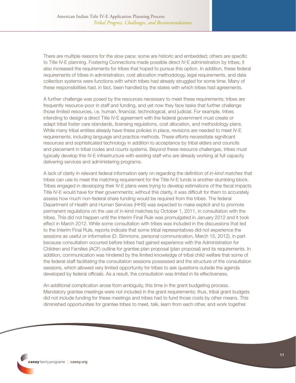There are multiple reasons for the slow pace: some are historic and embedded; others are specific to Title IV-E planning. Fostering Connections made possible direct IV-E administration by tribes; it also increased the requirements for tribes that hoped to pursue this option. In addition, these federal requirements of tribes in administration, cost allocation methodology, legal requirements, and data collection systems were functions with which tribes had already struggled for some time. Many of these responsibilities had, in fact, been handled by the states with which tribes had agreements.

A further challenge was posed by the resources necessary to meet these requirements; tribes are frequently resource-poor in staff and funding, and yet now they face tasks that further challenge those limited resources, i.e. human, financial, technological, and judicial. For example, tribes intending to design a direct Title IV-E agreement with the federal government must create or adapt tribal foster care standards, licensing regulations, cost allocation, and methodology plans. While many tribal entities already have these policies in place, revisions are needed to meet IV-E requirements, including language and practice methods. These efforts necessitate significant resources and sophisticated technology in addition to acceptance by tribal elders and councils and placement in tribal codes and courts systems. Beyond these resource challenges, tribes must typically develop this IV-E infrastructure with existing staff who are already working at full capacity delivering services and administering programs.

A lack of clarity in relevant federal information early on regarding the definition of *in-kind matches* that tribes can use to meet the matching requirement for the Title IV-E funds is another stumbling block. Tribes engaged in developing their IV-E plans were trying to develop estimations of the fiscal impacts Title IV-E would have for their governments; without this clarity, it was difficult for them to accurately assess how much non-federal share funding would be required from the tribes. The federal Department of Health and Human Services (HHS) was expected to make explicit and to promote permanent regulations on the use of in-kind matches by October 1, 2011, in consultation with the tribes. This did not happen until the Interim Final Rule was promulgated in January 2012 and it took effect in March 2012. While some consultation with tribes was included in the discussions that led to the Interim Final Rule, reports indicate that some tribal representatives did not experience the sessions as useful or informative (D. Simmons, personal communication, March 15, 2012), in part because consultation occurred before tribes had gained experience with the Administration for Children and Families (ACF) outline for grantee plan proposal (plan proposal) and its requirements. In addition, communication was hindered by the limited knowledge of tribal child welfare that some of the federal staff facilitating the consultation sessions possessed and the structure of the consultation sessions, which allowed very limited opportunity for tribes to ask questions outside the agenda developed by federal officials. As a result, the consultation was limited in its effectiveness.

An additional complication arose from ambiguity, this time in the grant budgeting process. Mandatory grantee meetings were not included in the grant requirements; thus, tribal grant budgets did not include funding for these meetings and tribes had to fund those costs by other means. This diminished opportunities for grantee tribes to meet, talk, learn from each other, and work together.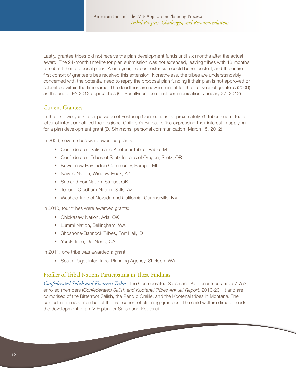Lastly, grantee tribes did not receive the plan development funds until six months after the actual award. The 24-month timeline for plan submission was not extended, leaving tribes with 18 months to submit their proposal plans. A one-year, no-cost extension could be requested; and the entire first cohort of grantee tribes received this extension. Nonetheless, the tribes are understandably concerned with the potential need to repay the proposal plan funding if their plan is not approved or submitted within the timeframe. The deadlines are now imminent for the first year of grantees (2009) as the end of FY 2012 approaches (C. Benallyson, personal communication, January 27, 2012).

#### Current Grantees

In the first two years after passage of Fostering Connections, approximately 75 tribes submitted a letter of intent or notified their regional Children's Bureau office expressing their interest in applying for a plan development grant (D. Simmons, personal communication, March 15, 2012).

In 2009, seven tribes were awarded grants:

- Confederated Salish and Kootenai Tribes, Pablo, MT
- Confederated Tribes of Siletz Indians of Oregon, Siletz, OR
- Keweenaw Bay Indian Community, Baraga, MI
- Navajo Nation, Window Rock, AZ
- Sac and Fox Nation, Stroud, OK
- Tohono O'odham Nation, Sells, AZ
- Washoe Tribe of Nevada and California, Gardnerville, NV

In 2010, four tribes were awarded grants:

- Chickasaw Nation, Ada, OK
- Lummi Nation, Bellingham, WA
- Shoshone-Bannock Tribes, Fort Hall, ID
- Yurok Tribe, Del Norte, CA

In 2011, one tribe was awarded a grant:

• South Puget Inter-Tribal Planning Agency, Sheldon, WA

#### Profiles of Tribal Nations Participating in These Findings

*Confederated Salish and Kootenai Tribes.* The Confederated Salish and Kootenai tribes have 7,753 enrolled members (*Confederated Salish and Kootenai Tribes Annual Report*, 2010-2011) and are comprised of the Bitterroot Salish, the Pend d'Oreille, and the Kootenai tribes in Montana. The confederation is a member of the first cohort of planning grantees. The child welfare director leads the development of an IV-E plan for Salish and Kootenai.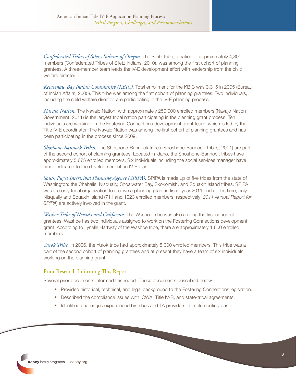*Confederated Tribes of Siletz Indians of Oregon.* The Siletz tribe, a nation of approximately 4,800 members (Confederated Tribes of Siletz Indians, 2010), was among the first cohort of planning grantees. A three-member team leads the IV-E development effort with leadership from the child welfare director.

*Keweenaw Bay Indian Community (KBIC).* Total enrollment for the KBIC was 3,315 in 2005 (Bureau of Indian Affairs, 2005). This tribe was among the first cohort of planning grantees. Two individuals, including the child welfare director, are participating in the IV-E planning process.

*Navajo Nation.* The Navajo Nation, with approximately 250,000 enrolled members (Navajo Nation Government, 2011) is the largest tribal nation participating in the planning grant process. Ten individuals are working on the Fostering Connections development grant team, which is led by the Title IV-E coordinator. The Navajo Nation was among the first cohort of planning grantees and has been participating in the process since 2009.

*Shoshone-Bannock Tribes.* The Shoshone-Bannock tribes (Shoshone-Bannock Tribes, 2011) are part of the second cohort of planning grantees. Located in Idaho, the Shoshone-Bannock tribes have approximately 5,675 enrolled members. Six individuals including the social services manager have time dedicated to the development of an IV-E plan.

*South Puget Intertribal Planning Agency (SPIPA).* SPIPA is made up of five tribes from the state of Washington: the Chehalis, Nisqually, Shoalwater Bay, Skokomish, and Squaxin Island tribes. SPIPA was the only tribal organization to receive a planning grant in fiscal year 2011 and at this time, only Nisqually and Squaxin Island (711 and 1023 enrolled members, respectively; *2011 Annual Report for SPIPA*) are actively involved in the grant.

*Washoe Tribe of Nevada and California.* The Washoe tribe was also among the first cohort of grantees. Washoe has two individuals assigned to work on the Fostering Connections development grant. According to Lynelle Hartway of the Washoe tribe, there are approximately 1,600 enrolled members.

*Yurok Tribe.* In 2006, the Yurok tribe had approximately 5,000 enrolled members. This tribe was a part of the second cohort of planning grantees and at present they have a team of six individuals working on the planning grant.

#### Prior Research Informing This Report

Several prior documents informed this report. These documents described below:

- Provided historical, technical, and legal background to the Fostering Connections legislation.
- Described the compliance issues with ICWA, Title IV-B, and state-tribal agreements.

• Identified challenges experienced by tribes and TA providers in implementing past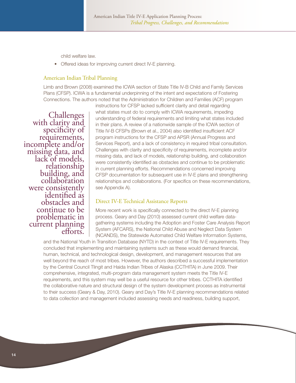child welfare law.

• Offered ideas for improving current direct IV-E planning.

#### American Indian Tribal Planning

Limb and Brown (2008) examined the ICWA section of State Title IV-B Child and Family Services Plans (CFSP). ICWA is a fundamental underpinning of the intent and expectations of Fostering Connections. The authors noted that the Administration for Children and Families (ACF) program

Challenges with clarity and specificity of requirements, incomplete and/or missing data, and lack of models, relationship building, and collaboration were consistently identified as obstacles and continue to be problematic in current planning efforts. instructions for CFSP lacked sufficient clarity and detail regarding what states must do to comply with ICWA requirements, impeding understanding of federal requirements and limiting what states included in their plans. A review of a nationwide sample of the ICWA section of Title IV-B CFSPs (Brown et al., 2004) also identified insufficient ACF program instructions for the CFSP and APSR (Annual Progress and Services Report), and a lack of consistency in required tribal consultation. Challenges with clarity and specificity of requirements, incomplete and/or missing data, and lack of models, relationship building, and collaboration were consistently identified as obstacles and continue to be problematic in current planning efforts. Recommendations concerned improving CFSP documentation for subsequent use in IV-E plans and strengthening relationships and collaborations. (For specifics on these recommendations, see Appendix A).

#### Direct IV-E Technical Assistance Reports

More recent work is specifically connected to the direct IV-E planning process. Geary and Day (2010) assessed current child welfare datagathering systems including the Adoption and Foster Care Analysis Report System (AFCARS), the National Child Abuse and Neglect Data System (NCANDS), the Statewide Automated Child Welfare Information Systems,

and the National Youth in Transition Database (NYTD) in the context of Title IV-E requirements. They concluded that implementing and maintaining systems such as these would demand financial, human, technical, and technological design, development, and management resources that are well beyond the reach of most tribes. However, the authors described a successful implementation by the Central Council Tlingit and Haida Indian Tribes of Alaska (CCTHITA) in June 2009. Their comprehensive, integrated, multi-program data management system meets the Title IV-E requirements, and this system may well be a useful resource for other tribes. CCTHITA identified the collaborative nature and structural design of the system development process as instrumental to their success (Geary & Day, 2010). Geary and Day's Title IV-E planning recommendations related to data collection and management included assessing needs and readiness, building support,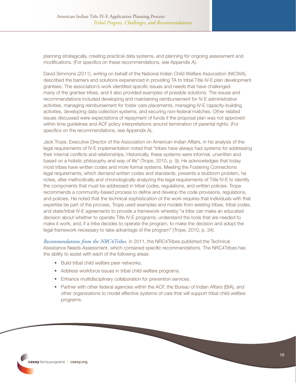planning strategically, creating practical data systems, and planning for ongoing assessment and modifications. (For specifics on these recommendations, see Appendix A).

David Simmons (2011), writing on behalf of the National Indian Child Welfare Association (NICWA), described the barriers and solutions experienced in providing TA to tribal Title IV-E plan development grantees. The association's work identified specific issues and needs that have challenged many of the grantee tribes, and it also provided examples of possible solutions. The issues and recommendations included developing and maintaining reimbursement for IV-E administrative activities, managing reimbursement for foster care placements, managing IV-E capacity-building activities, developing data collection systems, and securing non-federal matches. Other related issues discussed were expectations of repayment of funds if the proposal plan was not approved within time guidelines and ACF policy interpretations around termination of parental rights. (For specifics on the recommendations, see Appendix A).

Jack Trope, Executive Director of the Association on American Indian Affairs, in his analysis of the legal requirements of IV-E implementation noted that "tribes have always had systems for addressing their internal conflicts and relationships. Historically, these systems were informal, unwritten and based on a holistic philosophy and way of life" (Trope, 2010, p. 9). He acknowledges that today most tribes have written codes and more formal systems. Meeting the Fostering Connections legal requirements, which demand written codes and standards, presents a stubborn problem, he notes, after methodically and chronologically analyzing the legal requirements of Title IV-E to identify the components that must be addressed in tribal codes, regulations, and written policies. Trope recommends a community-based process to define and develop the code provisions, regulations, and policies. He noted that the technical sophistication of the work requires that individuals with that expertise be part of the process. Trope used examples and models from existing tribes, tribal codes, and state/tribal IV-E agreements to provide a framework whereby "a tribe can make an educated decision about whether to operate Title IV-E programs, understand the tools that are needed to make it work, and, if a tribe decides to operate the program, to make the decision and adopt the legal framework necessary to take advantage of the program" (Trope, 2010, p. 34).

*Recommendations from the NRC4Tribes.* In 2011, the NRC4Tribes published the Technical Assistance Needs Assessment, which contained specific recommendations. The NRC4Tribes has the ability to assist with each of the following areas:

- Build tribal child welfare peer networks.
- Address workforce issues in tribal child welfare programs.
- Enhance multidisciplinary collaboration for prevention services.
- Partner with other federal agencies within the ACF, the Bureau of Indian Affairs (BIA), and other organizations to model effective systems of care that will support tribal child welfare programs.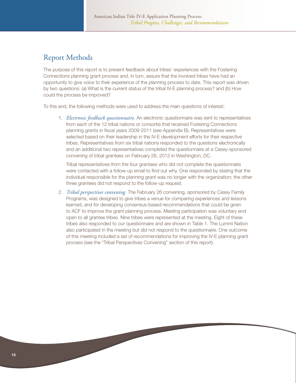# Report Methods

The purpose of this report is to present feedback about tribes' experiences with the Fostering Connections planning grant process and, in turn, assure that the involved tribes have had an opportunity to give voice to their experience of the planning process to date. This report was driven by two questions: (a) What is the current status of the tribal IV-E planning process? and (b) How could the process be improved?

To this end, the following methods were used to address the main questions of interest:

1. *Electronic feedback questionnaire.* An electronic questionnaire was sent to representatives from each of the 12 tribal nations or consortia that received Fostering Connections planning grants in fiscal years 2009-2011 (see Appendix B). Representatives were selected based on their leadership in the IV-E development efforts for their respective tribes. Representatives from six tribal nations responded to the questions electronically and an additional two representatives completed the questionnaire at a Casey-sponsored convening of tribal grantees on February 26, 2012 in Washington, DC.

Tribal representatives from the four grantees who did not complete the questionnaire were contacted with a follow-up email to find out why. One responded by stating that the individual responsible for the planning grant was no longer with the organization; the other three grantees did not respond to the follow-up request.

2. *Tribal perspectives convening.* The February 26 convening, sponsored by Casey Family Programs, was designed to give tribes a venue for comparing experiences and lessons learned, and for developing consensus-based recommendations that could be given to ACF to improve the grant planning process. Meeting participation was voluntary and open to all grantee tribes. Nine tribes were represented at the meeting. Eight of these tribes also responded to our questionnaire and are shown in Table 1. The Lummi Nation also participated in the meeting but did not respond to the questionnaire. One outcome of this meeting included a set of recommendations for improving the IV-E planning grant process (see the "Tribal Perspectives Convening" section of this report).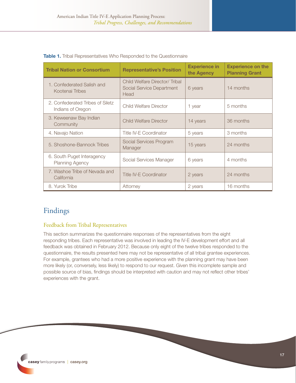| <b>Tribal Nation or Consortium</b>                    | <b>Representative's Position</b>                                   | <b>Experience in</b><br>the Agency | <b>Experience on the</b><br><b>Planning Grant</b> |
|-------------------------------------------------------|--------------------------------------------------------------------|------------------------------------|---------------------------------------------------|
| 1. Confederated Salish and<br>Kootenai Tribes         | Child Welfare Director/Tribal<br>Social Service Department<br>Head | 6 years                            | 14 months                                         |
| 2. Confederated Tribes of Siletz<br>Indians of Oregon | Child Welfare Director                                             | 1 year                             | 5 months                                          |
| 3. Keweenaw Bay Indian<br>Community                   | <b>Child Welfare Director</b>                                      | 14 years                           | 36 months                                         |
| 4. Navajo Nation                                      | <b>Title IV-E Coordinator</b>                                      | 5 years                            | 3 months                                          |
| 5. Shoshone-Bannock Tribes                            | Social Services Program<br>Manager                                 | 15 years                           | 24 months                                         |
| 6. South Puget Interagency<br><b>Planning Agency</b>  | Social Services Manager                                            | 6 years                            | 4 months                                          |
| 7. Washoe Tribe of Nevada and<br>California           | <b>Title IV-E Coordinator</b>                                      | 2 years                            | 24 months                                         |
| 8. Yurok Tribe                                        | Attorney                                                           | 2 years                            | 16 months                                         |

|  |  |  | <b>Table 1.</b> Tribal Representatives Who Responded to the Questionnaire |
|--|--|--|---------------------------------------------------------------------------|

# Findings

#### Feedback from Tribal Representatives

This section summarizes the questionnaire responses of the representatives from the eight responding tribes. Each representative was involved in leading the IV-E development effort and all feedback was obtained in February 2012. Because only eight of the twelve tribes responded to the questionnaire, the results presented here may not be representative of all tribal grantee experiences. For example, grantees who had a more positive experience with the planning grant may have been more likely (or, conversely, less likely) to respond to our request. Given this incomplete sample and possible source of bias, findings should be interpreted with caution and may not reflect other tribes' experiences with the grant.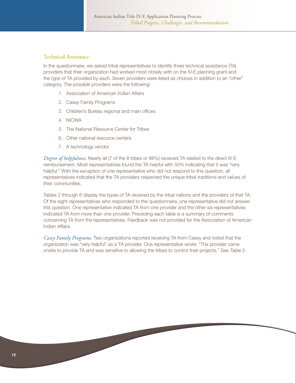#### Technical Assistance

In the questionnaire, we asked tribal representatives to identify three technical assistance (TA) providers that their organization had worked most closely with on the IV-E planning grant and the type of TA provided by each. Seven providers were listed as choices in addition to an "other" category. The possible providers were the following:

- 1. Association of American Indian Affairs
- 2. Casey Family Programs
- 3. Children's Bureau regional and main offices
- 4. NICWA
- 5. The National Resource Center for Tribes
- 6. Other national resource centers
- 7. A technology vendor

*Degree of helpfulness.* Nearly all (7 of the 8 tribes or 88%) received TA related to the direct IV-E reimbursement. Most representatives found the TA helpful with 50% indicating that it was "very helpful." With the exception of one representative who did not respond to this question, all representatives indicated that the TA providers respected the unique tribal traditions and values of their communities.

Tables 2 through 6 display the types of TA received by the tribal nations and the providers of that TA. Of the eight representatives who responded to the questionnaire, one representative did not answer this question. One representative indicated TA from one provider and the other six representatives indicated TA from more than one provider. Preceding each table is a summary of comments concerning TA from the representatives. Feedback was not provided for the Association of American Indian Affairs.

*Casey Family Programs.* Two organizations reported receiving TA from Casey and noted that the organization was "very helpful" as a TA provider. One representative wrote: "The provider came onsite to provide TA and was sensitive to allowing the tribes to control their projects." See Table 2.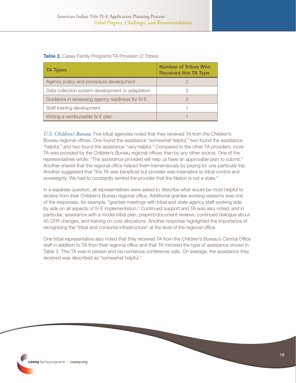| <b>TA Types</b>                                  | <b>Number of Tribes Who</b><br><b>Received this TA Type</b> |
|--------------------------------------------------|-------------------------------------------------------------|
| Agency policy and procedure development          |                                                             |
| Data collection system development or adaptation |                                                             |
| Guidance in assessing agency readiness for IV-E  |                                                             |
| Staff training development                       |                                                             |
| Writing a reimbursable IV-E plan                 |                                                             |

#### Table 2. Casey Family Programs TA Provision (2 Tribes)

*U.S. Children's Bureau.* Five tribal agencies noted that they received TA from the Children's Bureau regional offices. One found the assistance "somewhat helpful," two found the assistance "helpful," and two found the assistance "very helpful." Compared to the other TA providers, more TA was provided by the Children's Bureau regional offices than by any other source. One of the representatives wrote: "The assistance provided will help us have an approvable plan to submit." Another shared that the regional office helped them tremendously by paying for one particular trip. Another suggested that "the TA was beneficial but provider was insensitive to tribal control and sovereignty. We had to constantly remind the provider that the Nation is not a state."

In a separate question, all representatives were asked to describe what would be most helpful to receive from their Children's Bureau regional office. Additional grantee working sessions was one of the responses, for example, "grantee meetings with tribal and state agency staff working side by side on all aspects of IV-E implementation." Continued support and TA was also noted, and in particular, assistance with a model tribal plan, preprint/document reviews, continued dialogue about 45 CFR changes, and training on cost allocations. Another response highlighted the importance of recognizing the "tribal and consortia infrastructure" at the level of the regional office.

One tribal representative also noted that they received TA from the Children's Bureau's Central Office staff in addition to TA from their regional office and that TA mirrored the type of assistance shown in Table 3. This TA was in person and via numerous conference calls. On average, the assistance they received was described as "somewhat helpful."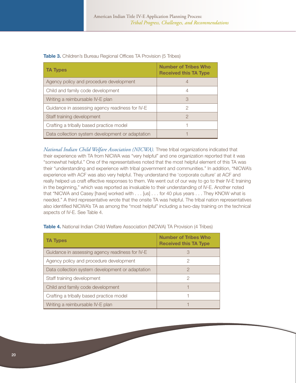| <b>TA Types</b>                                  | <b>Number of Tribes Who</b><br><b>Received this TA Type</b> |
|--------------------------------------------------|-------------------------------------------------------------|
| Agency policy and procedure development          |                                                             |
| Child and family code development                | 4                                                           |
| Writing a reimbursable IV-E plan                 | 3                                                           |
| Guidance in assessing agency readiness for IV-E  | 2                                                           |
| Staff training development                       | 2                                                           |
| Crafting a tribally based practice model         |                                                             |
| Data collection system development or adaptation |                                                             |

Table 3. Children's Bureau Regional Offices TA Provision (5 Tribes)

*National Indian Child Welfare Association (NICWA).* Three tribal organizations indicated that their experience with TA from NICWA was "very helpful" and one organization reported that it was "somewhat helpful." One of the representatives noted that the most helpful element of this TA was their "understanding and experience with tribal government and communities." In addition, "NICWA's experience with ACF was also very helpful. They understand the 'corporate culture' at ACF and really helped us craft effective responses to them. We went out of our way to go to their IV-E training in the beginning," which was reported as invaluable to their understanding of IV-E. Another noted that "NICWA and Casey [have] worked with . . . [us] . . . for 40 plus years . . . They KNOW what is needed." A third representative wrote that the onsite TA was helpful. The tribal nation representatives also identified NICWA's TA as among the "most helpful" including a two-day training on the technical aspects of IV-E. See Table 4.

| <b>TA Types</b>                                  | <b>Number of Tribes Who</b><br><b>Received this TA Type</b> |
|--------------------------------------------------|-------------------------------------------------------------|
| Guidance in assessing agency readiness for IV-E  | З                                                           |
| Agency policy and procedure development          | 2                                                           |
| Data collection system development or adaptation |                                                             |
| Staff training development                       | 2                                                           |
| Child and family code development                |                                                             |
| Crafting a tribally based practice model         |                                                             |
| Writing a reimbursable IV-E plan                 |                                                             |

Table 4. National Indian Child Welfare Association (NICWA) TA Provision (4 Tribes)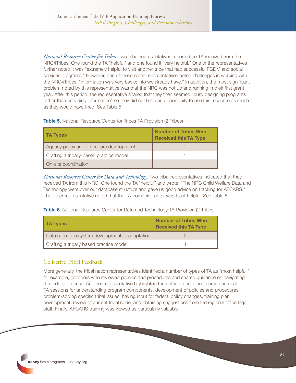*National Resource Center for Tribes.* Two tribal representatives reported on TA received from the NRC4Tribes. One found the TA "helpful" and one found it "very helpful." One of the representatives further noted it was "extremely helpful to visit another tribe that had successful FGDM and social services programs." However, one of these same representatives noted challenges in working with the NRC4Tribes; "information was very basic; info we already have." In addition, the most significant problem noted by this representative was that the NRC was not up and running in their first grant year. After this period, the representative shared that they then seemed "busy designing programs rather than providing information" so they did not have an opportunity to use this resource as much as they would have liked. See Table 5.

**Table 5.** National Resource Center for Tribes TA Provision (2 Tribes)

| <b>TA Types</b>                          | <b>Number of Tribes Who</b><br><b>Received this TA Type</b> |
|------------------------------------------|-------------------------------------------------------------|
| Agency policy and procedure development  |                                                             |
| Crafting a tribally-based practice model |                                                             |
| On-site coordination                     |                                                             |

*National Resource Center for Data and Technology.* Two tribal representatives indicated that they received TA from this NRC. One found the TA "helpful" and wrote: "The NRC Child Welfare Data and Technology went over our database structure and gave us good advice on tracking for AFCARS." The other representative noted that the TA from this center was least helpful. See Table 6.

Table 6. National Resource Center for Data and Technology TA Provision (2 Tribes)

| <b>TA Types</b>                                  | <b>Number of Tribes Who</b><br><b>Received this TA Type</b> |
|--------------------------------------------------|-------------------------------------------------------------|
| Data collection system development or adaptation |                                                             |
| Crafting a tribally based practice model         |                                                             |

#### Collective Tribal Feedback

More generally, the tribal nation representatives identified a number of types of TA as "most helpful," for example, providers who reviewed policies and procedures and shared guidance on navigating the federal process. Another representative highlighted the utility of onsite and conference-call TA sessions for understanding program components, development of policies and procedures, problem-solving specific tribal issues, having input for federal policy changes, training plan development, review of current tribal code, and obtaining suggestions from the regional office legal staff. Finally, AFCARS training was viewed as particularly valuable.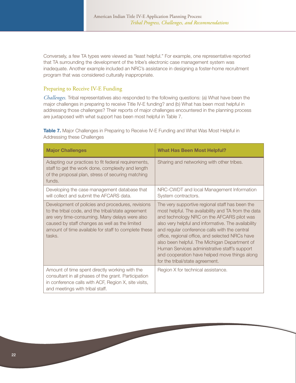Conversely, a few TA types were viewed as "least helpful." For example, one representative reported that TA surrounding the development of the tribe's electronic case management system was inadequate. Another example included an NRC's assistance in designing a foster-home recruitment program that was considered culturally inappropriate.

#### Preparing to Receive IV-E Funding

*Challenges.* Tribal representatives also responded to the following questions: (a) What have been the major challenges in preparing to receive Title IV-E funding? and (b) What has been most helpful in addressing those challenges? Their reports of major challenges encountered in the planning process are juxtaposed with what support has been most helpful in Table 7.

| Table 7. Major Challenges in Preparing to Receive IV-E Funding and What Was Most Helpful in |  |
|---------------------------------------------------------------------------------------------|--|
| Addressing these Challenges                                                                 |  |

| <b>Major Challenges</b>                                                                                                                                                                                                                                                       | <b>What Has Been Most Helpful?</b>                                                                                                                                                                                                                                                                                                                                                                                                                                                                    |
|-------------------------------------------------------------------------------------------------------------------------------------------------------------------------------------------------------------------------------------------------------------------------------|-------------------------------------------------------------------------------------------------------------------------------------------------------------------------------------------------------------------------------------------------------------------------------------------------------------------------------------------------------------------------------------------------------------------------------------------------------------------------------------------------------|
| Adapting our practices to fit federal requirements,<br>staff to get the work done, complexity and length<br>of the proposal plan, stress of securing matching<br>funds.                                                                                                       | Sharing and networking with other tribes.                                                                                                                                                                                                                                                                                                                                                                                                                                                             |
| Developing the case management database that<br>will collect and submit the AFCARS data.                                                                                                                                                                                      | NRC-CWDT and local Management Information<br>System contractors.                                                                                                                                                                                                                                                                                                                                                                                                                                      |
| Development of policies and procedures, revisions<br>to the tribal code, and the tribal/state agreement<br>are very time-consuming. Many delays were also<br>caused by staff changes as well as the limited<br>amount of time available for staff to complete these<br>tasks. | The very supportive regional staff has been the<br>most helpful. The availability and TA from the data<br>and technology NRC on the AFCARS pilot was<br>also very helpful and informative. The availability<br>and regular conference calls with the central<br>office, regional office, and selected NRCs have<br>also been helpful. The Michigan Department of<br>Human Services administrative staff's support<br>and cooperation have helped move things along<br>for the tribal/state agreement. |
| Amount of time spent directly working with the<br>consultant in all phases of the grant. Participation<br>in conference calls with ACF, Region X, site visits,<br>and meetings with tribal staff.                                                                             | Region X for technical assistance.                                                                                                                                                                                                                                                                                                                                                                                                                                                                    |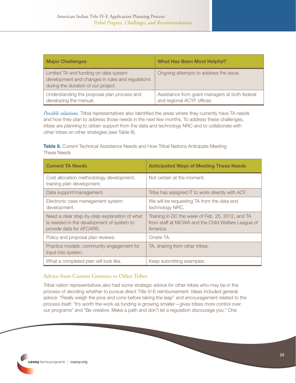| <b>Major Challenges</b>                                                                                                          | <b>What Has Been Most Helpful?</b>                                           |
|----------------------------------------------------------------------------------------------------------------------------------|------------------------------------------------------------------------------|
| Limited TA and funding on data system<br>development and changes in rules and regulations<br>during the duration of our project. | Ongoing attempts to address the issue.                                       |
| Understanding the proposal plan process and<br>developing the manual.                                                            | Assistance from grant managers at both federal<br>and regional ACYF offices. |

*Possible solutions.* Tribal representatives also identified the areas where they currently have TA needs and how they plan to address those needs in the next few months. To address these challenges, tribes are planning to obtain support from the data and technology NRC and to collaborate with other tribes on other strategies (see Table 8).

Table 8. Current Technical Assistance Needs and How Tribal Nations Anticipate Meeting These Needs

| <b>Current TA Needs</b>                                                                                                | <b>Anticipated Ways of Meeting These Needs</b>                                                                      |
|------------------------------------------------------------------------------------------------------------------------|---------------------------------------------------------------------------------------------------------------------|
| Cost allocation methodology development,<br>training plan development.                                                 | Not certain at the moment.                                                                                          |
| Data support/management.                                                                                               | Tribe has assigned IT to work directly with ACF.                                                                    |
| Electronic case management system<br>development.                                                                      | We will be requesting TA from the data and<br>technology NRC.                                                       |
| Need a clear step-by-step explanation of what<br>is needed in the development of system to<br>provide data for AFCARS. | Training in DC the week of Feb. 25, 2012, and TA<br>from staff at NICWA and the Child Welfare League of<br>America. |
| Policy and proposal plan reviews.                                                                                      | Onsite TA.                                                                                                          |
| Practice models, community engagement for<br>input into system.                                                        | TA, sharing from other tribes.                                                                                      |
| What a completed plan will look like.                                                                                  | Keep submitting examples.                                                                                           |

#### Advice from Current Grantees to Other Tribes

Tribal nation representatives also had some strategic advice for other tribes who may be in the process of deciding whether to pursue direct Title IV-E reimbursement. Ideas included general advice: "Really weigh the pros and cons before taking the leap" and encouragement related to the process itself: "It's worth the work as funding is growing smaller—gives tribes more control over our programs" and "Be creative. Make a path and don't let a regulation discourage you." One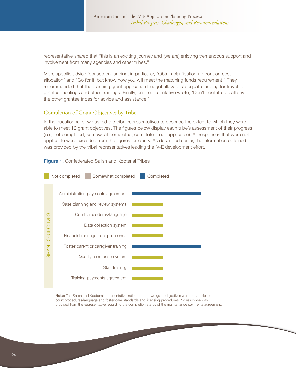representative shared that "this is an exciting journey and [we are] enjoying tremendous support and involvement from many agencies and other tribes."

More specific advice focused on funding, in particular, "Obtain clarification up front on cost allocation" and "Go for it, but know how you will meet the matching funds requirement." They recommended that the planning grant application budget allow for adequate funding for travel to grantee meetings and other trainings. Finally, one representative wrote, "Don't hesitate to call any of the other grantee tribes for advice and assistance."

#### Completion of Grant Objectives by Tribe

In the questionnaire, we asked the tribal representatives to describe the extent to which they were able to meet 12 grant objectives. The figures below display each tribe's assessment of their progress (i.e., not completed; somewhat completed; completed; not-applicable). All responses that were not applicable were excluded from the figures for clarity. As described earlier, the information obtained was provided by the tribal representatives leading the IV-E development effort.

#### Figure 1. Confederated Salish and Kootenai Tribes



Note: The Salish and Kootenai representative indicated that two grant objectives were not applicable: court procedures/language and foster care standards and licensing procedures. No response was provided from the representative regarding the completion status of the maintenance payments agreement.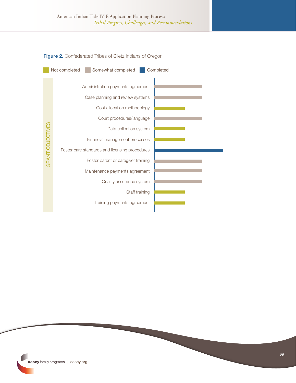

#### Figure 2. Confederated Tribes of Siletz Indians of Oregon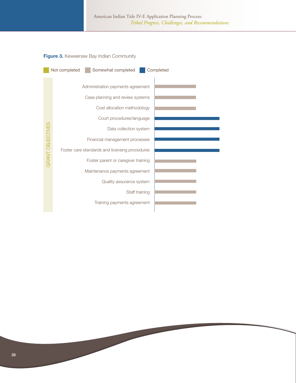

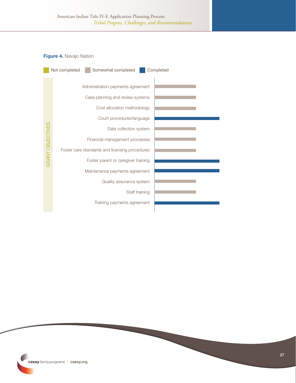#### **Figure 4. Navajo Nation**

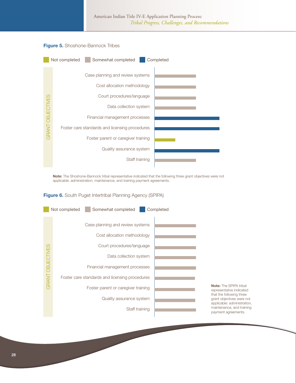



Note: The Shoshone-Bannock tribal representative indicated that the following three grant objectives were not applicable: administration, maintenance, and training payment agreements.



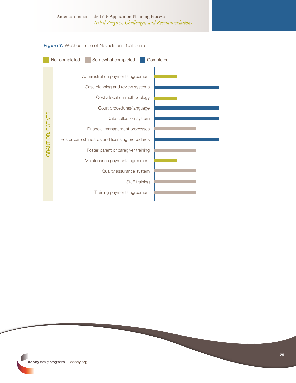

#### Figure 7. Washoe Tribe of Nevada and California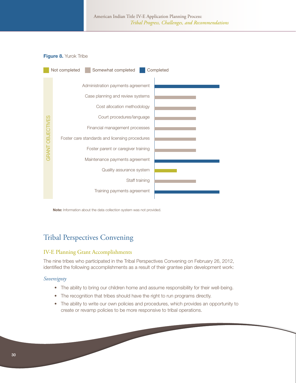#### Figure 8. Yurok Tribe



Note: Information about the data collection system was not provided.

# Tribal Perspectives Convening

#### IV-E Planning Grant Accomplishments

The nine tribes who participated in the Tribal Perspectives Convening on February 26, 2012, identified the following accomplishments as a result of their grantee plan development work:

#### *Sovereignty*

- The ability to bring our children home and assume responsibility for their well-being.
- The recognition that tribes should have the right to run programs directly.
- The ability to write our own policies and procedures, which provides an opportunity to create or revamp policies to be more responsive to tribal operations.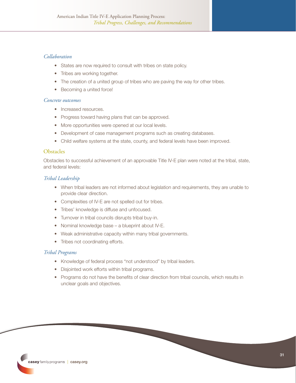#### *Collaboration*

- States are now required to consult with tribes on state policy.
- Tribes are working together.
- The creation of a united group of tribes who are paving the way for other tribes.
- Becoming a united force!

#### *Concrete outcomes*

- Increased resources.
- Progress toward having plans that can be approved.
- More opportunities were opened at our local levels.
- Development of case management programs such as creating databases.
- Child welfare systems at the state, county, and federal levels have been improved.

#### **Obstacles**

Obstacles to successful achievement of an approvable Title IV-E plan were noted at the tribal, state, and federal levels:

#### *Tribal Leadership*

- When tribal leaders are not informed about legislation and requirements, they are unable to provide clear direction.
- Complexities of IV-E are not spelled out for tribes.
- Tribes' knowledge is diffuse and unfocused.
- Turnover in tribal councils disrupts tribal buy-in.
- Nominal knowledge base a blueprint about IV-E.
- Weak administrative capacity within many tribal governments.
- Tribes not coordinating efforts.

#### *Tribal Programs*

- Knowledge of federal process "not understood" by tribal leaders.
- Disjointed work efforts within tribal programs.
- Programs do not have the benefits of clear direction from tribal councils, which results in unclear goals and objectives.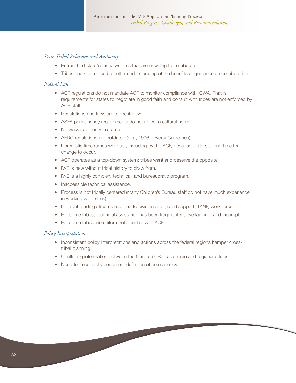#### *State-Tribal Relations and Authority*

- Entrenched state/county systems that are unwilling to collaborate.
- Tribes and states need a better understanding of the benefits or guidance on collaboration.

#### *Federal Law*

- ACF regulations do not mandate ACF to monitor compliance with ICWA. That is, requirements for states to negotiate in good faith and consult with tribes are not enforced by ACF staff.
- Regulations and laws are too restrictive.
- ASFA permanency requirements do not reflect a cultural norm.
- No waiver authority in statute.
- AFDC regulations are outdated (e.g., 1996 Poverty Guidelines).
- Unrealistic timeframes were set, including by the ACF, because it takes a long time for change to occur.
- ACF operates as a top-down system; tribes want and deserve the opposite.
- IV-E is new without tribal history to draw from.
- IV-E is a highly complex, technical, and bureaucratic program.
- Inaccessible technical assistance.
- Process is not tribally centered (many Children's Bureau staff do not have much experience in working with tribes).
- Different funding streams have led to divisions (i.e., child support, TANF, work force).
- For some tribes, technical assistance has been fragmented, overlapping, and incomplete.
- For some tribes, no uniform relationship with ACF.

#### *Policy Interpretation*

- Inconsistent policy interpretations and actions across the federal regions hamper crosstribal planning.
- Conflicting information between the Children's Bureau's main and regional offices.
- Need for a culturally congruent definition of permanency.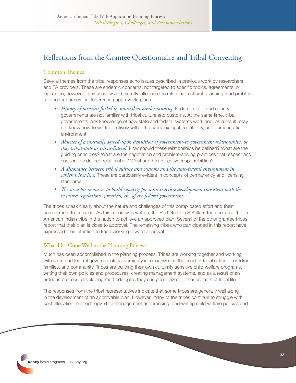# Reflections from the Grantee Questionnaire and Tribal Convening

#### Common Themes

Several themes from the tribal responses echo issues described in previous work by researchers and TA providers. These are endemic concerns, not targeted to specific topics, agreements, or legislation; however, they shadow and directly influence the relational, cultural, planning, and problem solving that are critical for creating approvable plans.

- *History of mistrust fueled by mutual misunderstanding.* Federal, state, and county governments are not familiar with tribal culture and customs. At the same time, tribal governments lack knowledge of how state and federal systems work and, as a result, may not know how to work effectively within the complex legal, regulatory, and bureaucratic environment.
- *Absence of a mutually agreed-upon definition of government-to-government relationships, be they tribal-state or tribal-federal.* How should these relationships be defined? What are the guiding principles? What are the negotiation and problem-solving practices that respect and support the defined relationship? What are the respective responsibilities?
- *A dissonance between tribal culture and customs and the state-federal environment in which tribes live.* These are particularly evident in concepts of permanency and licensing standards.
- *The need for resources to build capacity for infrastructure development consistent with the required regulations, practices, etc. of the federal government.*

The tribes speak clearly about the nature and challenges of this complicated effort and their commitment to proceed. As this report was written, the Port Gamble S'Kallam tribe became the first American Indian tribe in the nation to achieve an approved plan. Several of the other grantee tribes report that their plan is close to approval. The remaining tribes who participated in this report have expressed their intention to keep working toward approval.

#### What Has Gone Well in the Planning Process?

Much has been accomplished in the planning process. Tribes are working together and working with state and federal governments; sovereignty is recognized in the heart of tribal culture – children, families, and community. Tribes are building their own culturally sensitive child welfare programs, writing their own policies and procedures, creating management systems, and as a result of an arduous process, developing methodologies they can generalize to other aspects of tribal life.

The responses from the tribal representatives indicate that some tribes are generally well along in the development of an approvable plan. However, many of the tribes continue to struggle with cost allocation methodology, data management and tracking, and writing child welfare policies and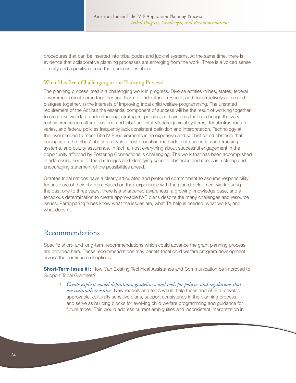procedures that can be inserted into tribal codes and judicial systems. At the same time, there is evidence that collaborative planning processes are emerging from the work. There is a voiced sense of unity and a positive sense that success lies ahead.

#### What Has Been Challenging in the Planning Process?

The planning process itself is a challenging work in progress. Diverse entities (tribes, states, federal government) must come together and learn to understand, respect, and constructively agree and disagree together, in the interests of improving tribal child welfare programming. The unstated requirement of the Act but the essential component of success will be the result of working together to create knowledge, understanding, strategies, policies, and systems that can bridge the very real differences in culture, custom, and tribal and state/federal judicial systems. Tribal infrastructure varies, and federal policies frequently lack consistent definition and interpretation. Technology at the level needed to meet Title IV-E requirements is an expensive and sophisticated obstacle that impinges on the tribes' ability to develop cost allocation methods, data collection and tracking systems, and quality assurance. In fact, almost everything about successful engagement in the opportunity afforded by Fostering Connections is challenging. The work that has been accomplished in addressing some of the challenges and identifying specific obstacles and needs is a strong and encouraging statement of the possibilities ahead.

Grantee tribal nations have a clearly articulated and profound commitment to assume responsibility for and care of their children. Based on their experience with the plan development work during the past one to three years, there is a sharpened awareness, a growing knowledge base, and a tenacious determination to create approvable IV-E plans despite the many challenges and resource issues. Participating tribes know what the issues are, what TA help is needed, what works, and what doesn't.

### Recommendations

Specific short- and long-term recommendations which could advance the grant planning process are provided here. These recommendations may benefit tribal child welfare program development across the continuum of options.

**Short-Term Issue #1:** How Can Existing Technical Assistance and Communication be Improved to Support Tribal Grantees?

1. *Create explicit model definitions, guidelines, and tools for policies and regulations that are culturally sensitive.* New models and tools would help tribes and ACF to develop approvable, culturally sensitive plans, support consistency in the planning process, and serve as building blocks for evolving child welfare programming and guidance for future tribes. This would address current ambiguities and inconsistent interpretation in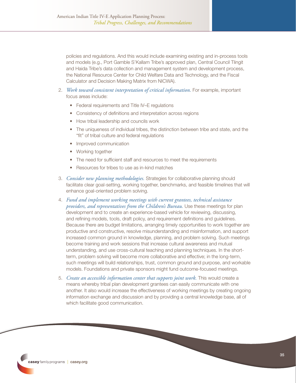policies and regulations. And this would include examining existing and in-process tools and models (e.g., Port Gamble S'Kallam Tribe's approved plan, Central Council Tlingit and Haida Tribe's data collection and management system and development process, the National Resource Center for Child Welfare Data and Technology, and the Fiscal Calculator and Decision Making Matrix from NICWA).

- 2. *Work toward consistent interpretation of critical information*. For example, important focus areas include:
	- Federal requirements and Title IV–E regulations
	- Consistency of definitions and interpretation across regions
	- How tribal leadership and councils work
	- The uniqueness of individual tribes, the distinction between tribe and state, and the "fit" of tribal culture and federal regulations
	- Improved communication
	- Working together
	- The need for sufficient staff and resources to meet the requirements
	- Resources for tribes to use as in-kind matches
- 3. *Consider new planning methodologies.* Strategies for collaborative planning should facilitate clear goal-setting, working together, benchmarks, and feasible timelines that will enhance goal-oriented problem solving.
- 4. *Fund and implement working meetings with current grantees, technical assistance providers, and representatives from the Children's Bureau.* Use these meetings for plan development and to create an experience-based vehicle for reviewing, discussing, and refining models, tools, draft policy, and requirement definitions and guidelines. Because there are budget limitations, arranging timely opportunities to work together are productive and constructive, resolve misunderstanding and misinformation, and support increased common ground in knowledge, planning, and problem solving. Such meetings become training and work sessions that increase cultural awareness and mutual understanding, and use cross-cultural teaching and planning techniques. In the shortterm, problem solving will become more collaborative and effective; in the long-term, such meetings will build relationships, trust, common ground and purpose, and workable models. Foundations and private sponsors might fund outcome-focused meetings.
- 5. *Create an accessible information center that supports joint work.* This would create a means whereby tribal plan development grantees can easily communicate with one another. It also would increase the effectiveness of working meetings by creating ongoing information exchange and discussion and by providing a central knowledge base, all of which facilitate good communication.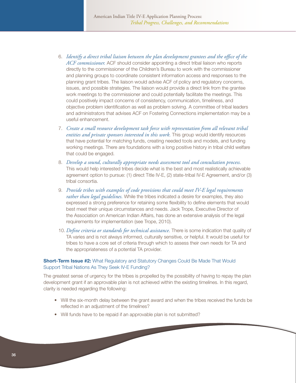- 6. *Identify a direct tribal liaison between the plan development grantees and the office of the ACF commissioner.* ACF should consider appointing a direct tribal liaison who reports directly to the commissioner of the Children's Bureau to work with the commissioner and planning groups to coordinate consistent information access and responses to the planning grant tribes. The liaison would advise ACF of policy and regulatory concerns, issues, and possible strategies. The liaison would provide a direct link from the grantee work meetings to the commissioner and could potentially facilitate the meetings. This could positively impact concerns of consistency, communication, timeliness, and objective problem identification as well as problem solving. A committee of tribal leaders and administrators that advises ACF on Fostering Connections implementation may be a useful enhancement.
- 7. *Create a small resource development task force with representation from all relevant tribal entities and private sponsors interested in this work.* This group would identify resources that have potential for matching funds, creating needed tools and models, and funding working meetings. There are foundations with a long positive history in tribal child welfare that could be engaged.
- 8. *Develop a sound, culturally appropriate needs assessment tool and consultation process.*  This would help interested tribes decide what is the best and most realistically achievable agreement option to pursue: (1) direct Title IV-E, (2) state-tribal IV-E Agreement, and/or (3) tribal consortia.
- 9. *Provide tribes with examples of code provisions that could meet IV-E legal requirements rather than legal guidelines.* While the tribes indicated a desire for examples, they also expressed a strong preference for retaining some flexibility to define elements that would best meet their unique circumstances and needs. Jack Trope, Executive Director of the Association on American Indian Affairs, has done an extensive analysis of the legal requirements for implementation (see Trope, 2010).
- 10. *Define criteria or standards for technical assistance.* There is some indication that quality of TA varies and is not always informed, culturally sensitive, or helpful. It would be useful for tribes to have a core set of criteria through which to assess their own needs for TA and the appropriateness of a potential TA provider.

#### **Short-Term Issue #2:** What Regulatory and Statutory Changes Could Be Made That Would Support Tribal Nations As They Seek IV-E Funding?

The greatest sense of urgency for the tribes is propelled by the possibility of having to repay the plan development grant if an approvable plan is not achieved within the existing timelines. In this regard, clarity is needed regarding the following:

- Will the six-month delay between the grant award and when the tribes received the funds be reflected in an adjustment of the timelines?
- Will funds have to be repaid if an approvable plan is not submitted?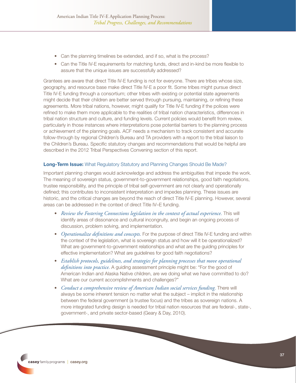- Can the planning timelines be extended, and if so, what is the process?
- Can the Title IV-E requirements for matching funds, direct and in-kind be more flexible to assure that the unique issues are successfully addressed?

Grantees are aware that direct Title IV-E funding is not for everyone. There are tribes whose size, geography, and resource base make direct Title IV-E a poor fit. Some tribes might pursue direct Title IV-E funding through a consortium; other tribes with existing or potential state agreements might decide that their children are better served through pursuing, maintaining, or refining these agreements. More tribal nations, however, might qualify for Title IV-E funding if the polices were refined to make them more applicable to the realities of tribal nation characteristics, differences in tribal nation structure and culture, and funding levels. Current policies would benefit from review, particularly in those instances where interpretations pose potential barriers to the planning process or achievement of the planning goals. ACF needs a mechanism to track consistent and accurate follow-through by regional Children's Bureau and TA providers with a report to the tribal liaison to the Children's Bureau. Specific statutory changes and recommendations that would be helpful are described in the 2012 Tribal Perspectives Convening section of this report.

#### Long-Term Issue: What Regulatory Statutory and Planning Changes Should Be Made?

Important planning changes would acknowledge and address the ambiguities that impede the work. The meaning of sovereign status, government-to-government relationships, good faith negotiations, trustee responsibility, and the principle of tribal self-government are not clearly and operationally defined; this contributes to inconsistent interpretation and impedes planning. These issues are historic, and the critical changes are beyond the reach of direct Title IV-E planning. However, several areas can be addressed in the context of direct Title IV–E funding.

- *Review the Fostering Connections legislation in the context of actual experience.* This will identify areas of dissonance and cultural incongruity, and begin an ongoing process of discussion, problem solving, and implementation.
- *Operationalize definitions and concepts.* For the purpose of direct Title IV-E funding and within the context of the legislation, what is sovereign status and how will it be operationalized? What are government-to-government relationships and what are the guiding principles for effective implementation? What are guidelines for good faith negotiations?
- *Establish protocols, guidelines, and strategies for planning processes that move operational definitions into practice.* A guiding assessment principle might be: "For the good of American Indian and Alaska Native children, are we doing what we have committed to do? What are our current accomplishments and challenges?"
- *Conduct a comprehensive review of American Indian social services funding*. There will always be some inherent tension no matter what the subject – implicit in the relationship between the federal government (a trustee focus) and the tribes as sovereign nations. A more integrated funding design is needed for tribal nation resources that are federal-, state-, government-, and private sector-based (Geary & Day, 2010).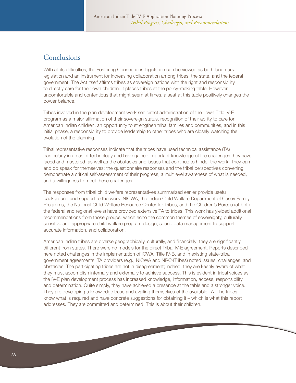## **Conclusions**

With all its difficulties, the Fostering Connections legislation can be viewed as both landmark legislation and an instrument for increasing collaboration among tribes, the state, and the federal government. The Act itself affirms tribes as sovereign nations with the right and responsibility to directly care for their own children. It places tribes at the policy-making table. However uncomfortable and contentious that might seem at times, a seat at this table positively changes the power balance.

Tribes involved in the plan development work see direct administration of their own Title IV-E program as a major affirmation of their sovereign status, recognition of their ability to care for American Indian children, an opportunity to strengthen tribal families and communities, and in this initial phase, a responsibility to provide leadership to other tribes who are closely watching the evolution of the planning.

Tribal representative responses indicate that the tribes have used technical assistance (TA) particularly in areas of technology and have gained important knowledge of the challenges they have faced and mastered, as well as the obstacles and issues that continue to hinder the work. They can and do speak for themselves; the questionnaire responses and the tribal perspectives convening demonstrate a critical self-assessment of their progress, a multilevel awareness of what is needed, and a willingness to meet these challenges.

The responses from tribal child welfare representatives summarized earlier provide useful background and support to the work. NICWA, the Indian Child Welfare Department of Casey Family Programs, the National Child Welfare Resource Center for Tribes, and the Children's Bureau (at both the federal and regional levels) have provided extensive TA to tribes. This work has yielded additional recommendations from those groups, which echo the common themes of sovereignty, culturally sensitive and appropriate child welfare program design, sound data management to support accurate information, and collaboration.

American Indian tribes are diverse geographically, culturally, and financially; they are significantly different from states. There were no models for the direct Tribal IV-E agreement. Reports described here noted challenges in the implementation of ICWA, Title IV-B, and in existing state-tribal government agreements. TA providers (e.g., NICWA and NRC4Tribes) noted issues, challenges, and obstacles. The participating tribes are not in disagreement; indeed, they are keenly aware of what they must accomplish internally and externally to achieve success. This is evident in tribal voices as the IV-E plan development process has increased knowledge, information, access, responsibility, and determination. Quite simply, they have achieved a presence at the table and a stronger voice. They are developing a knowledge base and availing themselves of the available TA. The tribes know what is required and have concrete suggestions for obtaining it – which is what this report addresses. They are committed and determined. This is about their children.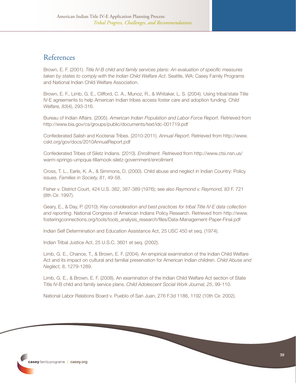## References

Brown, E. F. (2001). *Title IV-B child and family services plans: An evaluation of specific measures taken by states to comply with the Indian Child Welfare Act.* Seattle, WA: Casey Family Programs and National Indian Child Welfare Association.

Brown, E. F., Limb, G. E., Clifford, C. A., Munoz, R., & Whitaker, L. S. (2004). Using tribal/state Title IV-E agreements to help American Indian tribes access foster care and adoption funding. *Child Welfare, 83*(4), 293-316.

Bureau of Indian Affairs. (2005). *American Indian Population and Labor Force Report*. Retrieved from http://www.bia.gov/cs/groups/public/documents/text/idc-001719.pdf

Confederated Salish and Kootenai Tribes. (2010-2011). *Annual Report*. Retrieved from http://www. cskt.org/gov/docs/2010AnnualReport.pdf

Confederated Tribes of Siletz Indians. (2010). *Enrollment.* Retrieved from http://www.ctsi.nsn.us/ warm-springs-umpqua-tillamook-siletz-government/enrollment

Cross, T. L., Earle, K. A., & Simmons, D. (2000). Child abuse and neglect in Indian Country: Policy issues. *Families in Society, 81*, 49-58.

Fisher v. District Court, 424 U.S. 382, 387-389 (1976); see also *Raymond v. Raymond, 83* F. 721 (8th Cir. 1997).

Geary, E., & Day, P. (2010). *Key consideration and best practices for tribal Title IV-E data collection and reporting*. National Congress of American Indians Policy Research. Retrieved from http://www. fosteringconnections.org/tools/tools\_analysis\_research/files/Data-Management-Paper-Final.pdf

Indian Self Determination and Education Assistance Act, 25 USC 450 et seq. (1974).

Indian Tribal Justice Act, 25 U.S.C. 3601 et seq. (2002).

Limb, G. E., Chance, T., & Brown, E. F. (2004). An empirical examination of the Indian Child Welfare Act and its impact on cultural and familial preservation for American Indian children. *Child Abuse and Neglect, 8*, 1279-1289.

Limb, G. E., & Brown, E. F. (2008). An examination of the Indian Child Welfare Act section of State Title IV-B child and family service plans. *Child Adolescent Social Work Journal, 25*, 99-110.

National Labor Relations Board v. Pueblo of San Juan, 276 F.3d 1186, 1192 (10th Cir. 2002).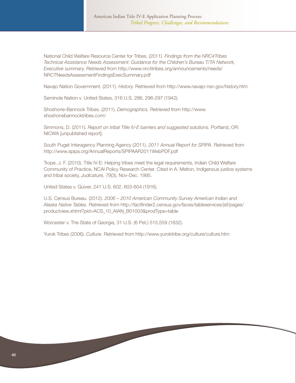National Child Welfare Resource Center for Tribes. (2011). *Findings from the NRC4Tribes Technical Assistance Needs Assessment: Guidance for the Children's Bureau T/TA Network, Executive summary.* Retrieved from http://www.nrc4tribes.org/announcements/needs/ NRCTNeedsAssessmentFindingsExecSummary.pdf

Navajo Nation Government. (2011). *History.* Retrieved from http://www.navajo-nsn.gov/history.htm

Seminole Nation v. United States, 316 U.S. 286, 296-297 (1942).

Shoshone-Bannock Tribes. (2011). *Demographics.* Retrieved from http://www. shoshonebannocktribes.com/

Simmons, D. (2011). *Report on tribal Title IV-E barriers and suggested solutions.* Portland, OR: NICWA [unpublished report].

South Puget Interagency Planning Agency (2011). *2011 Annual Report for SPIPA*. Retrieved from http://www.spipa.org/AnnualReports/SPIPAAR2011WebPDF.pdf

Trope, J. F. (2010). Title IV-E: Helping tribes meet the legal requirements, Indian Child Welfare Community of Practice, NCAI Policy Research Center. Cited in A. Melton, Indigenous justice systems and tribal society, *Judicature, 79*(3), Nov-Dec. 1995.

United States v. Quiver, 241 U.S. 602, 603-604 (1916).

U.S. Census Bureau. (2012). *2006 – 2010 American Community Survey American Indian and Alaska Native Tables.* Retrieved from http://factfinder2.census.gov/faces/tableservices/jsf/pages/ productview.xhtml?pid=ACS\_10\_AIAN\_B01003&prodType=table

Worcester v. The State of Georgia, 31 U.S. (6 Pet.) 515,559 (1832).

Yurok Tribes (2006). *Culture.* Retrieved from http://www.yuroktribe.org/culture/culture.htm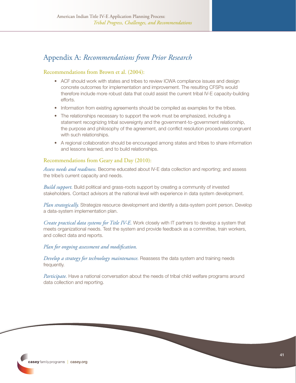# Appendix A: *Recommendations from Prior Research*

#### Recommendations from Brown et al. (2004):

- ACF should work with states and tribes to review ICWA compliance issues and design concrete outcomes for implementation and improvement. The resulting CFSPs would therefore include more robust data that could assist the current tribal IV-E capacity-building efforts.
- Information from existing agreements should be compiled as examples for the tribes.
- The relationships necessary to support the work must be emphasized, including a statement recognizing tribal sovereignty and the government-to-government relationship, the purpose and philosophy of the agreement, and conflict resolution procedures congruent with such relationships.
- A regional collaboration should be encouraged among states and tribes to share information and lessons learned, and to build relationships.

#### Recommendations from Geary and Day (2010):

*Assess needs and readiness.* Become educated about IV-E data collection and reporting; and assess the tribe's current capacity and needs.

*Build support.* Build political and grass-roots support by creating a community of invested stakeholders. Contact advisors at the national level with experience in data system development.

*Plan strategically.* Strategize resource development and identify a data-system point person. Develop a data-system implementation plan.

*Create practical data systems for Title IV-E.* Work closely with IT partners to develop a system that meets organizational needs. Test the system and provide feedback as a committee, train workers, and collect data and reports.

*Plan for ongoing assessment and modification.* 

*Develop a strategy for technology maintenance.* Reassess the data system and training needs frequently.

*Participate.* Have a national conversation about the needs of tribal child welfare programs around data collection and reporting.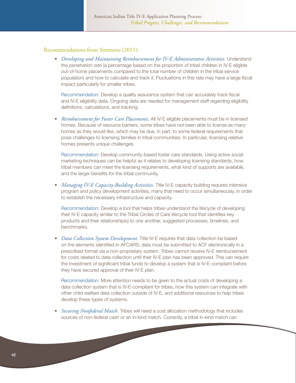#### Recommendations from Simmons (2011):

• *Developing and Maintaining Reimbursement for IV-E Administrative Activities.* Understand the *penetration rate* (a percentage based on the proportion of tribal children in IV-E eligible out-of-home placements compared to the total number of children in the tribal service population) and how to calculate and track it. Fluctuations in this rate may have a large fiscal impact particularly for smaller tribes.

Recommendation: Develop a quality assurance system that can accurately track fiscal and IV-E eligibility data. Ongoing data are needed for management staff regarding eligibility definitions, calculations, and tracking.

• *Reimbursement for Foster Care Placements.* All IV-E eligible placements must be in licensed homes. Because of resource barriers, some tribes have not been able to license as many homes as they would like, which may be due, in part, to some federal requirements that pose challenges to licensing families in tribal communities. In particular, licensing relative homes presents unique challenges.

Recommendation: Develop community-based foster care standards. Using active social marketing techniques can be helpful as it relates to developing licensing standards, how tribal members can meet the licensing requirements, what kind of supports are available, and the larger benefits for the tribal community.

• *Managing IV-E Capacity-Building Activities.* Title IV-E capacity building requires intensive program and policy development activities, many that need to occur simultaneously, in order to establish the necessary infrastructure and capacity.

Recommendation: Develop a tool that helps tribes understand the lifecycle of developing their IV-E capacity similar to the Tribal Circles of Care lifecycle tool that identifies key products and their relationship(s) to one another, suggested processes, timelines, and benchmarks.

• *Data Collection System Development.* Title IV-E requires that data collection be based on the elements identified in AFCARS; data must be submitted to ACF electronically in a prescribed format via a non-proprietary system. Tribes cannot receive IV-E reimbursement for costs related to data collection until their IV-E plan has been approved. This can require the investment of significant tribal funds to develop a system that is IV-E-compliant before they have secured approval of their IV-E plan.

Recommendation: More attention needs to be given to the actual costs of developing a data collection system that is IV-E-compliant for tribes, how this system can integrate with other child welfare data collection outside of IV-E, and additional resources to help tribes develop these types of systems.

• *Securing Nonfederal Match.* Tribes will need a cost allocation methodology that includes sources of non-federal cash or an in-kind match. Currently, a tribal in-kind match can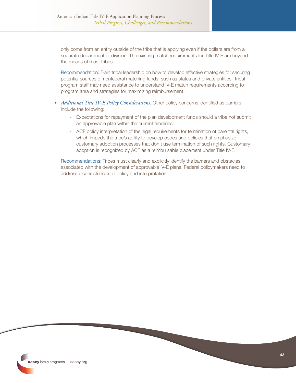only come from an entity outside of the tribe that is applying even if the dollars are from a separate department or division. The existing match requirements for Title IV-E are beyond the means of most tribes.

Recommendation: Train tribal leadership on how to develop effective strategies for securing potential sources of nonfederal matching funds, such as states and private entities. Tribal program staff may need assistance to understand IV-E match requirements according to program area and strategies for maximizing reimbursement.

- *Additional Title IV-E Policy Considerations.* Other policy concerns identified as barriers include the following:
	- Expectations for repayment of the plan development funds should a tribe not submit an approvable plan within the current timelines.
	- ACF policy interpretation of the legal requirements for termination of parental rights, which impede the tribe's ability to develop codes and policies that emphasize customary adoption processes that don't use termination of such rights. Customary adoption is recognized by ACF as a reimbursable placement under Title IV-E.

Recommendations: Tribes must clearly and explicitly identify the barriers and obstacles associated with the development of approvable IV-E plans. Federal policymakers need to address inconsistencies in policy and interpretation.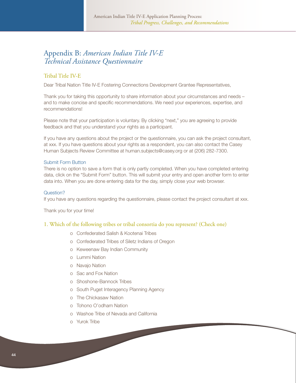# Appendix B: *American Indian Title IV-E Technical Assistance Questionnaire*

#### Tribal Title IV-E

Dear Tribal Nation Title IV-E Fostering Connections Development Grantee Representatives,

Thank you for taking this opportunity to share information about your circumstances and needs – and to make concise and specific recommendations. We need your experiences, expertise, and recommendations!

Please note that your participation is voluntary. By clicking "next," you are agreeing to provide feedback and that you understand your rights as a participant.

If you have any questions about the project or the questionnaire, you can ask the project consultant, at xxx. If you have questions about your rights as a respondent, you can also contact the Casey Human Subjects Review Committee at human.subjects@casey.org or at (206) 282-7300.

#### Submit Form Button

There is no option to save a form that is only partly completed. When you have completed entering data, click on the "Submit Form" button. This will submit your entry and open another form to enter data into. When you are done entering data for the day, simply close your web browser.

#### Question?

If you have any questions regarding the questionnaire, please contact the project consultant at xxx.

Thank you for your time!

#### 1. Which of the following tribes or tribal consortia do you represent? (Check one)

- o Confederated Salish & Kootenai Tribes
- o Confederated Tribes of Siletz Indians of Oregon
- o Keweenaw Bay Indian Community
- o Lummi Nation
- o Navajo Nation
- o Sac and Fox Nation
- o Shoshone-Bannock Tribes
- o South Puget Interagency Planning Agency
- o The Chickasaw Nation
- o Tohono O'odham Nation
- o Washoe Tribe of Nevada and California
- o Yurok Tribe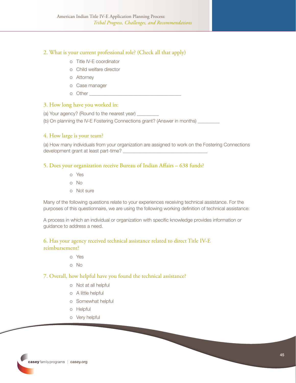#### 2. What is your current professional role? (Check all that apply)

- o Title IV-E coordinator
- o Child welfare director
- o Attorney
- o Case manager
- $\circ$  Other  $\circ$

#### 3. How long have you worked in:

(a) Your agency? (Round to the nearest year) \_\_\_\_\_\_\_\_\_

(b) On planning the IV-E Fostering Connections grant? (Answer in months) \_\_\_\_\_\_\_

#### 4. How large is your team?

(a) How many individuals from your organization are assigned to work on the Fostering Connections development grant at least part-time? \_\_\_\_\_\_\_\_\_\_\_

#### 5. Does your organization receive Bureau of Indian Affairs – 638 funds?

- o Yes
- o No
- o Not sure

Many of the following questions relate to your experiences receiving technical assistance. For the purposes of this questionnaire, we are using the following working definition of technical assistance:

A process in which an individual or organization with specific knowledge provides information or guidance to address a need.

#### 6. Has your agency received technical assistance related to direct Title IV-E reimbursement?

- o Yes
- o No

#### 7. Overall, how helpful have you found the technical assistance?

- o Not at all helpful
- o A little helpful
- o Somewhat helpful
- o Helpful
- o Very helpful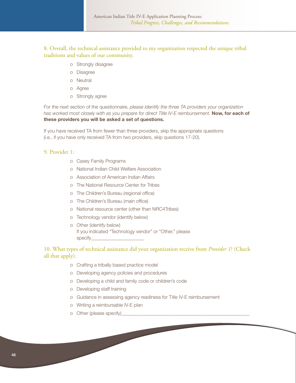8. Overall, the technical assistance provided to my organization respected the unique tribal traditions and values of our community.

- o Strongly disagree
- o Disagree
- o Neutral
- o Agree
- o Strongly agree

For the next section of the questionnaire, *please identify the three TA providers your organization*  has worked most closely with as you prepare for direct Title IV-E reimbursement. **Now, for each of** these providers you will be asked a set of questions.

If you have received TA from fewer than three providers, skip the appropriate questions (i.e., if you have only received TA from two providers, skip questions 17-20).

#### 9. Provider 1:

- o Casey Family Programs
- o National Indian Child Welfare Association
- o Association of American Indian Affairs
- o The National Resource Center for Tribes
- o The Children's Bureau (regional office)
- o The Children's Bureau (main office)
- o National resource center (other than NRC4Tribes)
- o Technology vendor (identify below)
- o Other (identify below) If you indicated "Technology vendor" or "Other," please specify

#### 10. What types of technical assistance did your organization receive from *Provider 1*? (Check all that apply).

- o Crafting a tribally based practice model
- o Developing agency policies and procedures
- o Developing a child and family code or children's code
- o Developing staff training
- o Guidance in assessing agency readiness for Title IV-E reimbursement
- o Writing a reimbursable IV-E plan
- o Other (please specify)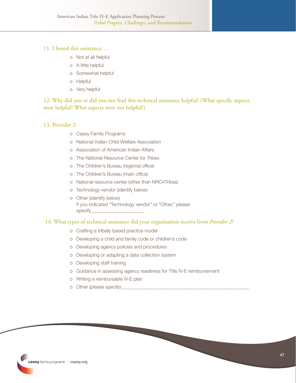#### 11. I found this assistance. . .

- o Not at all helpful
- o A little helpful
- o Somewhat helpful
- o Helpful
- o Very helpful

12. Why did you or did you not find this technical assistance helpful? (What specific aspects were helpful? What aspects were not helpful?)

#### 13. Provider 2:

- o Casey Family Programs
- o National Indian Child Welfare Association
- o Association of American Indian Affairs
- o The National Resource Center for Tribes
- o The Children's Bureau (regional office)
- o The Children's Bureau (main office)
- o National resource center (other than NRC4Tribes)
- o Technology vendor (identify below)
- o Other (identify below) If you indicated "Technology vendor" or "Other," please specify

#### 14. What types of technical assistance did your organization receive from *Provider 2*?

- o Crafting a tribally based practice model
- o Developing a child and family code or children's code
- o Developing agency policies and procedures
- o Developing or adapting a data collection system
- o Developing staff training
- o Guidance in assessing agency readiness for Title IV-E reimbursement

- o Writing a reimbursable IV-E plan
- o Other (please specify)

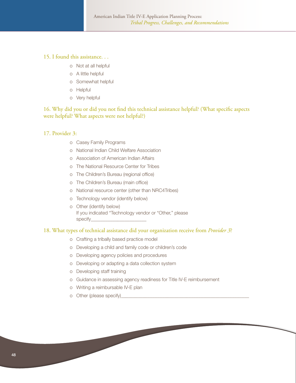#### 15. I found this assistance. . .

- o Not at all helpful
- o A little helpful
- o Somewhat helpful
- o Helpful
- o Very helpful

16. Why did you or did you not find this technical assistance helpful? (What specific aspects were helpful? What aspects were not helpful?)

#### 17. Provider 3:

- o Casey Family Programs
- o National Indian Child Welfare Association
- o Association of American Indian Affairs
- o The National Resource Center for Tribes
- o The Children's Bureau (regional office)
- o The Children's Bureau (main office)
- o National resource center (other than NRC4Tribes)
- o Technology vendor (identify below)
- o Other (identify below) If you indicated "Technology vendor or "Other," please specify\_\_\_\_\_\_\_\_\_\_\_\_\_\_\_\_\_\_\_\_\_\_\_

#### 18. What types of technical assistance did your organization receive from *Provider 3*?

- o Crafting a tribally based practice model
- o Developing a child and family code or children's code
- o Developing agency policies and procedures
- o Developing or adapting a data collection system
- o Developing staff training
- o Guidance in assessing agency readiness for Title IV-E reimbursement
- o Writing a reimbursable IV-E plan
- o Other (please specify)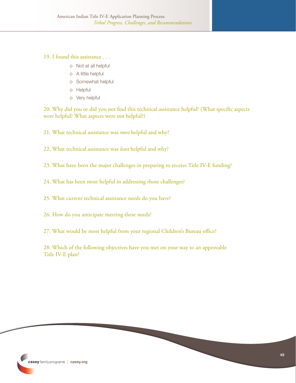#### 19. I found this assistance . . .

- o Not at all helpful
- o A little helpful
- o Somewhat helpful
- o Helpful
- o Very helpful

20. Why did you or did you not find this technical assistance helpful? (What specific aspects were helpful? What aspects were not helpful?)

- 21. What technical assistance was *most* helpful and why?
- 22. What technical assistance was *least* helpful and why?
- 23. What have been the major challenges in preparing to receive Title IV-E funding?
- 24. What has been most helpful in addressing those challenges?
- 25. What current technical assistance needs do you have?
- 26. How do you anticipate meeting these needs?
- 27. What would be most helpful from your regional Children's Bureau office?

28. Which of the following objectives have you met on your way to an approvable Title IV-E plan?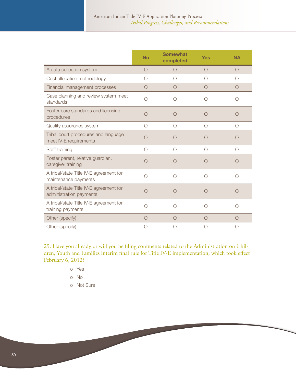|                                                                    | <b>No</b>  | <b>Somewhat</b><br>completed | <b>Yes</b> | <b>NA</b>                                       |
|--------------------------------------------------------------------|------------|------------------------------|------------|-------------------------------------------------|
| A data collection system                                           | $\bigcirc$ | $\bigcirc$                   | $\bigcirc$ | $\bigcirc$                                      |
| Cost allocation methodology                                        | Ο          | $\bigcirc$                   | ∩          | Ω                                               |
| Financial management processes                                     | $\bigcirc$ | $\bigcirc$                   | $\bigcirc$ | $\bigcirc$                                      |
| Case planning and review system meet<br>standards                  | Ο          | Ω                            | ∩          | $\left( \begin{array}{c} 1 \end{array} \right)$ |
| Foster care standards and licensing<br>procedures                  | $\bigcirc$ | $\bigcirc$                   | $\bigcirc$ | $\bigcap$                                       |
| Quality assurance system                                           | $\bigcirc$ | $\bigcirc$                   | $\bigcirc$ | ∩                                               |
| Tribal court procedures and language<br>meet IV-E requirements     | $\bigcirc$ | $\left( \ \right)$           | ∩          | ( )                                             |
| Staff training                                                     | $\bigcirc$ | $\bigcirc$                   | $\bigcirc$ | $\bigcirc$                                      |
| Foster parent, relative guardian,<br>caregiver training            | $\bigcirc$ | $\bigcap$                    | ∩          | ()                                              |
| A tribal/state Title IV-E agreement for<br>maintenance payments    | $\bigcirc$ | ∩                            | $\bigcap$  | ∩                                               |
| A tribal/state Title IV-E agreement for<br>administration payments | $\bigcirc$ | $\bigcap$                    | ∩          | $\bigcap$                                       |
| A tribal/state Title IV-E agreement for<br>training payments       | $\bigcirc$ | ∩                            | ∩          | ∩                                               |
| Other (specify)                                                    | O          | $\bigcirc$                   | ∩          | $\bigcap$                                       |
| Other (specify)                                                    | Ο          | Ω                            | ∩          |                                                 |

29. Have you already or will you be filing comments related to the Administration on Children, Youth and Families interim final rule for Title IV-E implementation, which took effect February 6, 2012?

o Yes

o No

o Not Sure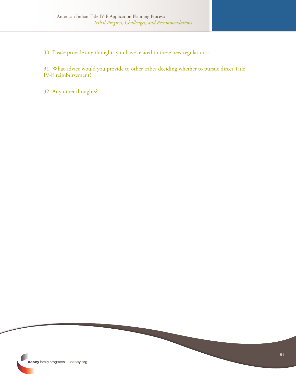30. Please provide any thoughts you have related to these new regulations:

31. What advice would you provide to other tribes deciding whether to pursue direct Title IV-E reimbursement?

32. Any other thoughts?